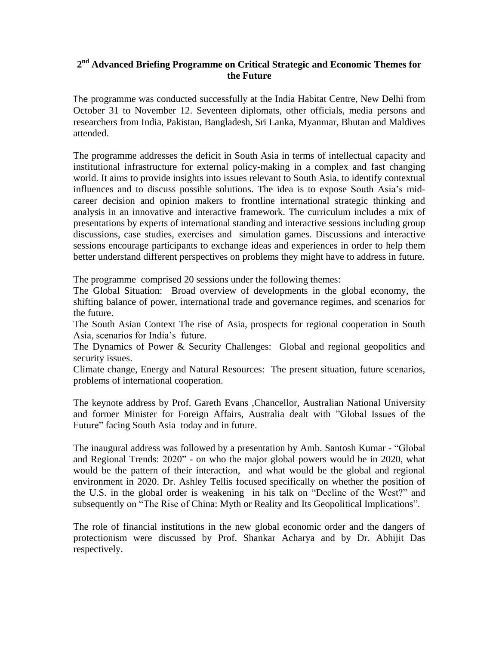## **2 nd Advanced Briefing Programme on Critical Strategic and Economic Themes for the Future**

The programme was conducted successfully at the India Habitat Centre, New Delhi from October 31 to November 12. Seventeen diplomats, other officials, media persons and researchers from India, Pakistan, Bangladesh, Sri Lanka, Myanmar, Bhutan and Maldives attended.

The programme addresses the deficit in South Asia in terms of intellectual capacity and institutional infrastructure for external policy-making in a complex and fast changing world. It aims to provide insights into issues relevant to South Asia, to identify contextual influences and to discuss possible solutions. The idea is to expose South Asia's midcareer decision and opinion makers to frontline international strategic thinking and analysis in an innovative and interactive framework. The curriculum includes a mix of presentations by experts of international standing and interactive sessions including group discussions, case studies, exercises and simulation games. Discussions and interactive sessions encourage participants to exchange ideas and experiences in order to help them better understand different perspectives on problems they might have to address in future.

The programme comprised 20 sessions under the following themes:

The Global Situation: Broad overview of developments in the global economy, the shifting balance of power, international trade and governance regimes, and scenarios for the future.

The South Asian Context The rise of Asia, prospects for regional cooperation in South Asia, scenarios for India's future.

The Dynamics of Power & Security Challenges: Global and regional geopolitics and security issues.

Climate change, Energy and Natural Resources: The present situation, future scenarios, problems of international cooperation.

The keynote address by Prof. Gareth Evans ,Chancellor, Australian National University and former Minister for Foreign Affairs, Australia dealt with "Global Issues of the Future" facing South Asia today and in future.

The inaugural address was followed by a presentation by Amb. Santosh Kumar - "Global and Regional Trends: 2020" - on who the major global powers would be in 2020, what would be the pattern of their interaction, and what would be the global and regional environment in 2020. Dr. Ashley Tellis focused specifically on whether the position of the U.S. in the global order is weakening in his talk on "Decline of the West?" and subsequently on "The Rise of China: Myth or Reality and Its Geopolitical Implications".

The role of financial institutions in the new global economic order and the dangers of protectionism were discussed by Prof. Shankar Acharya and by Dr. Abhijit Das respectively.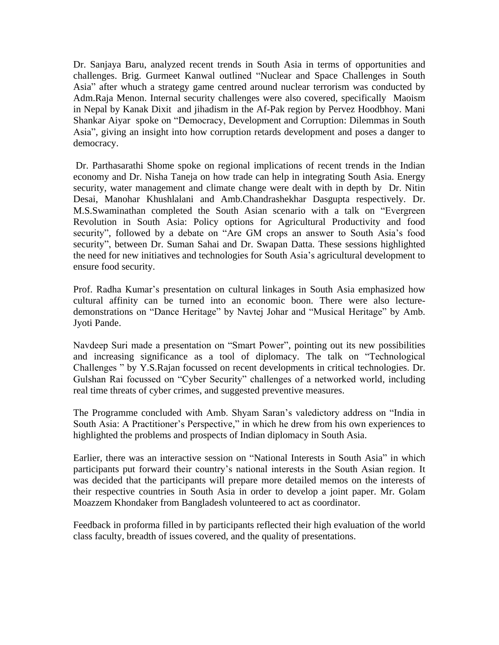Dr. Sanjaya Baru, analyzed recent trends in South Asia in terms of opportunities and challenges. Brig. Gurmeet Kanwal outlined "Nuclear and Space Challenges in South Asia" after whuch a strategy game centred around nuclear terrorism was conducted by Adm.Raja Menon. Internal security challenges were also covered, specifically Maoism in Nepal by Kanak Dixit and jihadism in the Af-Pak region by Pervez Hoodbhoy. Mani Shankar Aiyar spoke on "Democracy, Development and Corruption: Dilemmas in South Asia", giving an insight into how corruption retards development and poses a danger to democracy.

Dr. Parthasarathi Shome spoke on regional implications of recent trends in the Indian economy and Dr. Nisha Taneja on how trade can help in integrating South Asia. Energy security, water management and climate change were dealt with in depth by Dr. Nitin Desai, Manohar Khushlalani and Amb.Chandrashekhar Dasgupta respectively. Dr. M.S.Swaminathan completed the South Asian scenario with a talk on "Evergreen Revolution in South Asia: Policy options for Agricultural Productivity and food security", followed by a debate on "Are GM crops an answer to South Asia's food security", between Dr. Suman Sahai and Dr. Swapan Datta. These sessions highlighted the need for new initiatives and technologies for South Asia's agricultural development to ensure food security.

Prof. Radha Kumar's presentation on cultural linkages in South Asia emphasized how cultural affinity can be turned into an economic boon. There were also lecturedemonstrations on "Dance Heritage" by Navtej Johar and "Musical Heritage" by Amb. Jyoti Pande.

Navdeep Suri made a presentation on "Smart Power", pointing out its new possibilities and increasing significance as a tool of diplomacy. The talk on "Technological Challenges " by Y.S.Rajan focussed on recent developments in critical technologies. Dr. Gulshan Rai focussed on "Cyber Security" challenges of a networked world, including real time threats of cyber crimes, and suggested preventive measures.

The Programme concluded with Amb. Shyam Saran's valedictory address on "India in South Asia: A Practitioner's Perspective," in which he drew from his own experiences to highlighted the problems and prospects of Indian diplomacy in South Asia.

Earlier, there was an interactive session on "National Interests in South Asia" in which participants put forward their country's national interests in the South Asian region. It was decided that the participants will prepare more detailed memos on the interests of their respective countries in South Asia in order to develop a joint paper. Mr. Golam Moazzem Khondaker from Bangladesh volunteered to act as coordinator.

Feedback in proforma filled in by participants reflected their high evaluation of the world class faculty, breadth of issues covered, and the quality of presentations.